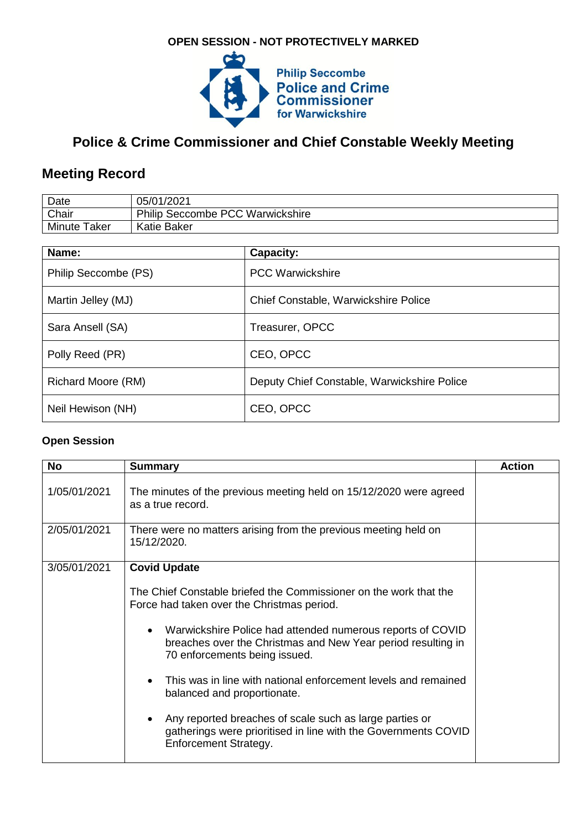## **OPEN SESSION - NOT PROTECTIVELY MARKED**



# **Police & Crime Commissioner and Chief Constable Weekly Meeting**

# **Meeting Record**

| Date                | 05/01/2021                              |
|---------------------|-----------------------------------------|
| Chair               | <b>Philip Seccombe PCC Warwickshire</b> |
| <b>Minute Taker</b> | Katie Baker                             |

| Name:                | Capacity:                                   |
|----------------------|---------------------------------------------|
| Philip Seccombe (PS) | <b>PCC Warwickshire</b>                     |
| Martin Jelley (MJ)   | Chief Constable, Warwickshire Police        |
| Sara Ansell (SA)     | Treasurer, OPCC                             |
| Polly Reed (PR)      | CEO, OPCC                                   |
| Richard Moore (RM)   | Deputy Chief Constable, Warwickshire Police |
| Neil Hewison (NH)    | CEO, OPCC                                   |

#### **Open Session**

| <b>No</b>    | <b>Summary</b>                                                                                                                                                           | <b>Action</b> |
|--------------|--------------------------------------------------------------------------------------------------------------------------------------------------------------------------|---------------|
| 1/05/01/2021 | The minutes of the previous meeting held on 15/12/2020 were agreed<br>as a true record.                                                                                  |               |
| 2/05/01/2021 | There were no matters arising from the previous meeting held on<br>15/12/2020.                                                                                           |               |
| 3/05/01/2021 | <b>Covid Update</b>                                                                                                                                                      |               |
|              | The Chief Constable briefed the Commissioner on the work that the<br>Force had taken over the Christmas period.                                                          |               |
|              | Warwickshire Police had attended numerous reports of COVID<br>$\bullet$<br>breaches over the Christmas and New Year period resulting in<br>70 enforcements being issued. |               |
|              | This was in line with national enforcement levels and remained<br>$\bullet$<br>balanced and proportionate.                                                               |               |
|              | Any reported breaches of scale such as large parties or<br>gatherings were prioritised in line with the Governments COVID<br>Enforcement Strategy.                       |               |